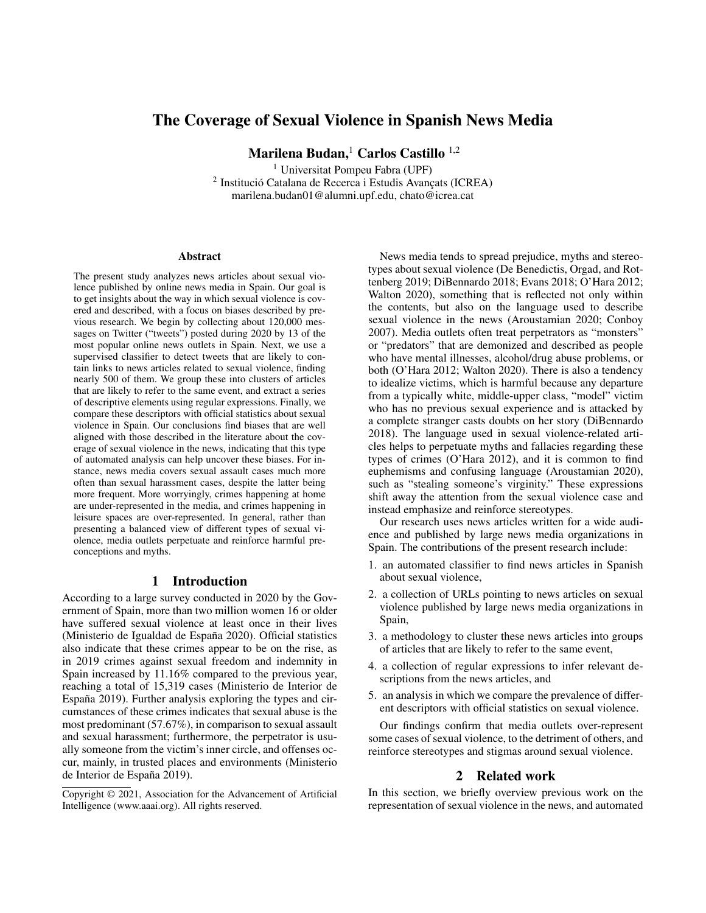# The Coverage of Sexual Violence in Spanish News Media

Marilena Budan,<sup>1</sup> Carlos Castillo <sup>1,2</sup>

<sup>1</sup> Universitat Pompeu Fabra (UPF) <sup>2</sup> Institució Catalana de Recerca i Estudis Avançats (ICREA) marilena.budan01@alumni.upf.edu, chato@icrea.cat

#### Abstract

The present study analyzes news articles about sexual violence published by online news media in Spain. Our goal is to get insights about the way in which sexual violence is covered and described, with a focus on biases described by previous research. We begin by collecting about 120,000 messages on Twitter ("tweets") posted during 2020 by 13 of the most popular online news outlets in Spain. Next, we use a supervised classifier to detect tweets that are likely to contain links to news articles related to sexual violence, finding nearly 500 of them. We group these into clusters of articles that are likely to refer to the same event, and extract a series of descriptive elements using regular expressions. Finally, we compare these descriptors with official statistics about sexual violence in Spain. Our conclusions find biases that are well aligned with those described in the literature about the coverage of sexual violence in the news, indicating that this type of automated analysis can help uncover these biases. For instance, news media covers sexual assault cases much more often than sexual harassment cases, despite the latter being more frequent. More worryingly, crimes happening at home are under-represented in the media, and crimes happening in leisure spaces are over-represented. In general, rather than presenting a balanced view of different types of sexual violence, media outlets perpetuate and reinforce harmful preconceptions and myths.

### 1 Introduction

According to a large survey conducted in 2020 by the Government of Spain, more than two million women 16 or older have suffered sexual violence at least once in their lives (Ministerio de Igualdad de España 2020). Official statistics also indicate that these crimes appear to be on the rise, as in 2019 crimes against sexual freedom and indemnity in Spain increased by 11.16% compared to the previous year, reaching a total of 15,319 cases (Ministerio de Interior de España 2019). Further analysis exploring the types and circumstances of these crimes indicates that sexual abuse is the most predominant (57.67%), in comparison to sexual assault and sexual harassment; furthermore, the perpetrator is usually someone from the victim's inner circle, and offenses occur, mainly, in trusted places and environments (Ministerio de Interior de España 2019).

News media tends to spread prejudice, myths and stereotypes about sexual violence (De Benedictis, Orgad, and Rottenberg 2019; DiBennardo 2018; Evans 2018; O'Hara 2012; Walton 2020), something that is reflected not only within the contents, but also on the language used to describe sexual violence in the news (Aroustamian 2020; Conboy 2007). Media outlets often treat perpetrators as "monsters" or "predators" that are demonized and described as people who have mental illnesses, alcohol/drug abuse problems, or both (O'Hara 2012; Walton 2020). There is also a tendency to idealize victims, which is harmful because any departure from a typically white, middle-upper class, "model" victim who has no previous sexual experience and is attacked by a complete stranger casts doubts on her story (DiBennardo 2018). The language used in sexual violence-related articles helps to perpetuate myths and fallacies regarding these types of crimes (O'Hara 2012), and it is common to find euphemisms and confusing language (Aroustamian 2020), such as "stealing someone's virginity." These expressions shift away the attention from the sexual violence case and instead emphasize and reinforce stereotypes.

Our research uses news articles written for a wide audience and published by large news media organizations in Spain. The contributions of the present research include:

- 1. an automated classifier to find news articles in Spanish about sexual violence,
- 2. a collection of URLs pointing to news articles on sexual violence published by large news media organizations in Spain,
- 3. a methodology to cluster these news articles into groups of articles that are likely to refer to the same event,
- 4. a collection of regular expressions to infer relevant descriptions from the news articles, and
- 5. an analysis in which we compare the prevalence of different descriptors with official statistics on sexual violence.

Our findings confirm that media outlets over-represent some cases of sexual violence, to the detriment of others, and reinforce stereotypes and stigmas around sexual violence.

### 2 Related work

In this section, we briefly overview previous work on the representation of sexual violence in the news, and automated

Copyright © 2021, Association for the Advancement of Artificial Intelligence (www.aaai.org). All rights reserved.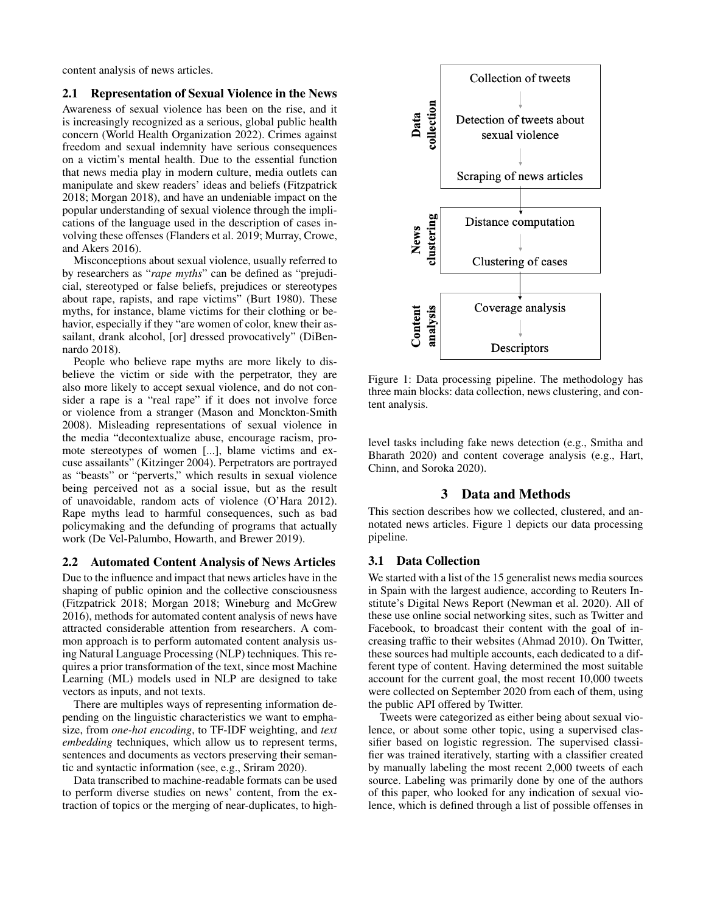content analysis of news articles.

### 2.1 Representation of Sexual Violence in the News

Awareness of sexual violence has been on the rise, and it is increasingly recognized as a serious, global public health concern (World Health Organization 2022). Crimes against freedom and sexual indemnity have serious consequences on a victim's mental health. Due to the essential function that news media play in modern culture, media outlets can manipulate and skew readers' ideas and beliefs (Fitzpatrick 2018; Morgan 2018), and have an undeniable impact on the popular understanding of sexual violence through the implications of the language used in the description of cases involving these offenses (Flanders et al. 2019; Murray, Crowe, and Akers 2016).

Misconceptions about sexual violence, usually referred to by researchers as "*rape myths*" can be defined as "prejudicial, stereotyped or false beliefs, prejudices or stereotypes about rape, rapists, and rape victims" (Burt 1980). These myths, for instance, blame victims for their clothing or behavior, especially if they "are women of color, knew their assailant, drank alcohol, [or] dressed provocatively" (DiBennardo 2018).

People who believe rape myths are more likely to disbelieve the victim or side with the perpetrator, they are also more likely to accept sexual violence, and do not consider a rape is a "real rape" if it does not involve force or violence from a stranger (Mason and Monckton-Smith 2008). Misleading representations of sexual violence in the media "decontextualize abuse, encourage racism, promote stereotypes of women [...], blame victims and excuse assailants" (Kitzinger 2004). Perpetrators are portrayed as "beasts" or "perverts," which results in sexual violence being perceived not as a social issue, but as the result of unavoidable, random acts of violence (O'Hara 2012). Rape myths lead to harmful consequences, such as bad policymaking and the defunding of programs that actually work (De Vel-Palumbo, Howarth, and Brewer 2019).

### 2.2 Automated Content Analysis of News Articles

Due to the influence and impact that news articles have in the shaping of public opinion and the collective consciousness (Fitzpatrick 2018; Morgan 2018; Wineburg and McGrew 2016), methods for automated content analysis of news have attracted considerable attention from researchers. A common approach is to perform automated content analysis using Natural Language Processing (NLP) techniques. This requires a prior transformation of the text, since most Machine Learning (ML) models used in NLP are designed to take vectors as inputs, and not texts.

There are multiples ways of representing information depending on the linguistic characteristics we want to emphasize, from *one-hot encoding*, to TF-IDF weighting, and *text embedding* techniques, which allow us to represent terms, sentences and documents as vectors preserving their semantic and syntactic information (see, e.g., Sriram 2020).

Data transcribed to machine-readable formats can be used to perform diverse studies on news' content, from the extraction of topics or the merging of near-duplicates, to high-



Figure 1: Data processing pipeline. The methodology has three main blocks: data collection, news clustering, and content analysis.

level tasks including fake news detection (e.g., Smitha and Bharath 2020) and content coverage analysis (e.g., Hart, Chinn, and Soroka 2020).

# 3 Data and Methods

This section describes how we collected, clustered, and annotated news articles. Figure 1 depicts our data processing pipeline.

### 3.1 Data Collection

We started with a list of the 15 generalist news media sources in Spain with the largest audience, according to Reuters Institute's Digital News Report (Newman et al. 2020). All of these use online social networking sites, such as Twitter and Facebook, to broadcast their content with the goal of increasing traffic to their websites (Ahmad 2010). On Twitter, these sources had multiple accounts, each dedicated to a different type of content. Having determined the most suitable account for the current goal, the most recent 10,000 tweets were collected on September 2020 from each of them, using the public API offered by Twitter.

Tweets were categorized as either being about sexual violence, or about some other topic, using a supervised classifier based on logistic regression. The supervised classifier was trained iteratively, starting with a classifier created by manually labeling the most recent 2,000 tweets of each source. Labeling was primarily done by one of the authors of this paper, who looked for any indication of sexual violence, which is defined through a list of possible offenses in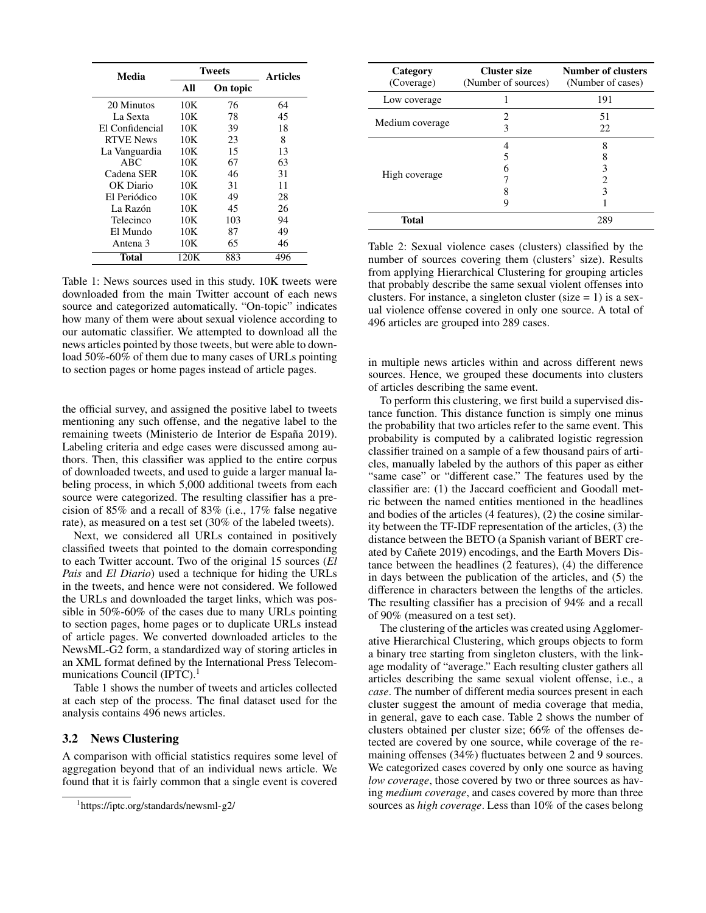| Media            | <b>Tweets</b> |          | <b>Articles</b> |  |
|------------------|---------------|----------|-----------------|--|
|                  | All           | On topic |                 |  |
| 20 Minutos       | 10K           | 76       | 64              |  |
| La Sexta         | 10K           | 78       | 45              |  |
| El Confidencial  | 10K           | 39       | 18              |  |
| <b>RTVE News</b> | 10K           | 23       | 8               |  |
| La Vanguardia    | 10K           | 15       | 13              |  |
| ABC              | 10K           | 67       | 63              |  |
| Cadena SER       | 10K           | 46       | 31              |  |
| OK Diario        | 10K           | 31       | 11              |  |
| El Periódico     | 10K           | 49       | 28              |  |
| La Razón         | 10K           | 45       | 26              |  |
| Telecinco        | 10K           | 103      | 94              |  |
| El Mundo         | 10K           | 87       | 49              |  |
| Antena 3         | 10K           | 65       | 46              |  |
| Total            | 120K          | 883      | 496             |  |

Table 1: News sources used in this study. 10K tweets were downloaded from the main Twitter account of each news source and categorized automatically. "On-topic" indicates how many of them were about sexual violence according to our automatic classifier. We attempted to download all the news articles pointed by those tweets, but were able to download 50%-60% of them due to many cases of URLs pointing to section pages or home pages instead of article pages.

the official survey, and assigned the positive label to tweets mentioning any such offense, and the negative label to the remaining tweets (Ministerio de Interior de España 2019). Labeling criteria and edge cases were discussed among authors. Then, this classifier was applied to the entire corpus of downloaded tweets, and used to guide a larger manual labeling process, in which 5,000 additional tweets from each source were categorized. The resulting classifier has a precision of 85% and a recall of 83% (i.e., 17% false negative rate), as measured on a test set (30% of the labeled tweets).

Next, we considered all URLs contained in positively classified tweets that pointed to the domain corresponding to each Twitter account. Two of the original 15 sources (*El Pais* and *El Diario*) used a technique for hiding the URLs in the tweets, and hence were not considered. We followed the URLs and downloaded the target links, which was possible in 50%-60% of the cases due to many URLs pointing to section pages, home pages or to duplicate URLs instead of article pages. We converted downloaded articles to the NewsML-G2 form, a standardized way of storing articles in an XML format defined by the International Press Telecommunications Council (IPTC).<sup>1</sup>

Table 1 shows the number of tweets and articles collected at each step of the process. The final dataset used for the analysis contains 496 news articles.

### 3.2 News Clustering

A comparison with official statistics requires some level of aggregation beyond that of an individual news article. We found that it is fairly common that a single event is covered

| Category<br>(Coverage) | <b>Cluster size</b><br>(Number of sources) | <b>Number of clusters</b><br>(Number of cases) |
|------------------------|--------------------------------------------|------------------------------------------------|
| Low coverage           |                                            | 191                                            |
| Medium coverage        |                                            | 51<br>22                                       |
| High coverage          |                                            | 8<br>3<br>3                                    |
| <b>Total</b>           |                                            | 289                                            |

Table 2: Sexual violence cases (clusters) classified by the number of sources covering them (clusters' size). Results from applying Hierarchical Clustering for grouping articles that probably describe the same sexual violent offenses into clusters. For instance, a singleton cluster (size  $= 1$ ) is a sexual violence offense covered in only one source. A total of 496 articles are grouped into 289 cases.

in multiple news articles within and across different news sources. Hence, we grouped these documents into clusters of articles describing the same event.

To perform this clustering, we first build a supervised distance function. This distance function is simply one minus the probability that two articles refer to the same event. This probability is computed by a calibrated logistic regression classifier trained on a sample of a few thousand pairs of articles, manually labeled by the authors of this paper as either "same case" or "different case." The features used by the classifier are: (1) the Jaccard coefficient and Goodall metric between the named entities mentioned in the headlines and bodies of the articles (4 features), (2) the cosine similarity between the TF-IDF representation of the articles, (3) the distance between the BETO (a Spanish variant of BERT created by Cañete 2019) encodings, and the Earth Movers Distance between the headlines (2 features), (4) the difference in days between the publication of the articles, and (5) the difference in characters between the lengths of the articles. The resulting classifier has a precision of 94% and a recall of 90% (measured on a test set).

The clustering of the articles was created using Agglomerative Hierarchical Clustering, which groups objects to form a binary tree starting from singleton clusters, with the linkage modality of "average." Each resulting cluster gathers all articles describing the same sexual violent offense, i.e., a *case*. The number of different media sources present in each cluster suggest the amount of media coverage that media, in general, gave to each case. Table 2 shows the number of clusters obtained per cluster size; 66% of the offenses detected are covered by one source, while coverage of the remaining offenses (34%) fluctuates between 2 and 9 sources. We categorized cases covered by only one source as having *low coverage*, those covered by two or three sources as having *medium coverage*, and cases covered by more than three sources as *high coverage*. Less than 10% of the cases belong

<sup>1</sup> https://iptc.org/standards/newsml-g2/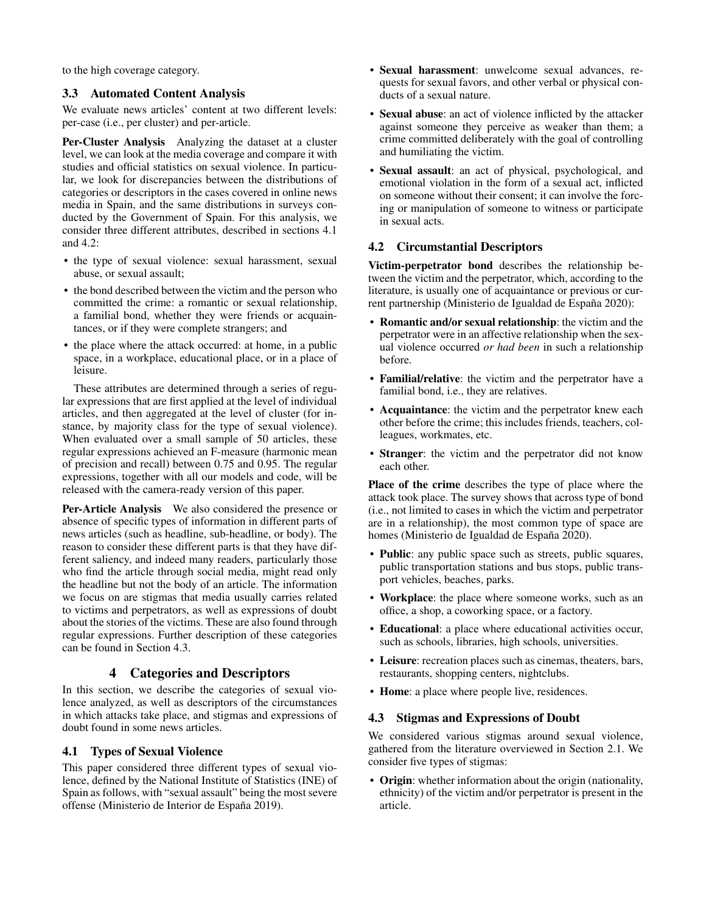to the high coverage category.

### 3.3 Automated Content Analysis

We evaluate news articles' content at two different levels: per-case (i.e., per cluster) and per-article.

Per-Cluster Analysis Analyzing the dataset at a cluster level, we can look at the media coverage and compare it with studies and official statistics on sexual violence. In particular, we look for discrepancies between the distributions of categories or descriptors in the cases covered in online news media in Spain, and the same distributions in surveys conducted by the Government of Spain. For this analysis, we consider three different attributes, described in sections 4.1 and 4.2:

- the type of sexual violence: sexual harassment, sexual abuse, or sexual assault;
- the bond described between the victim and the person who committed the crime: a romantic or sexual relationship, a familial bond, whether they were friends or acquaintances, or if they were complete strangers; and
- the place where the attack occurred: at home, in a public space, in a workplace, educational place, or in a place of leisure.

These attributes are determined through a series of regular expressions that are first applied at the level of individual articles, and then aggregated at the level of cluster (for instance, by majority class for the type of sexual violence). When evaluated over a small sample of 50 articles, these regular expressions achieved an F-measure (harmonic mean of precision and recall) between 0.75 and 0.95. The regular expressions, together with all our models and code, will be released with the camera-ready version of this paper.

Per-Article Analysis We also considered the presence or absence of specific types of information in different parts of news articles (such as headline, sub-headline, or body). The reason to consider these different parts is that they have different saliency, and indeed many readers, particularly those who find the article through social media, might read only the headline but not the body of an article. The information we focus on are stigmas that media usually carries related to victims and perpetrators, as well as expressions of doubt about the stories of the victims. These are also found through regular expressions. Further description of these categories can be found in Section 4.3.

# 4 Categories and Descriptors

In this section, we describe the categories of sexual violence analyzed, as well as descriptors of the circumstances in which attacks take place, and stigmas and expressions of doubt found in some news articles.

### 4.1 Types of Sexual Violence

This paper considered three different types of sexual violence, defined by the National Institute of Statistics (INE) of Spain as follows, with "sexual assault" being the most severe offense (Ministerio de Interior de España 2019).

- Sexual harassment: unwelcome sexual advances, requests for sexual favors, and other verbal or physical conducts of a sexual nature.
- Sexual abuse: an act of violence inflicted by the attacker against someone they perceive as weaker than them; a crime committed deliberately with the goal of controlling and humiliating the victim.
- Sexual assault: an act of physical, psychological, and emotional violation in the form of a sexual act, inflicted on someone without their consent; it can involve the forcing or manipulation of someone to witness or participate in sexual acts.

## 4.2 Circumstantial Descriptors

Victim-perpetrator bond describes the relationship between the victim and the perpetrator, which, according to the literature, is usually one of acquaintance or previous or current partnership (Ministerio de Igualdad de España 2020):

- Romantic and/or sexual relationship: the victim and the perpetrator were in an affective relationship when the sexual violence occurred *or had been* in such a relationship before.
- Familial/relative: the victim and the perpetrator have a familial bond, i.e., they are relatives.
- Acquaintance: the victim and the perpetrator knew each other before the crime; this includes friends, teachers, colleagues, workmates, etc.
- **Stranger**: the victim and the perpetrator did not know each other.

Place of the crime describes the type of place where the attack took place. The survey shows that across type of bond (i.e., not limited to cases in which the victim and perpetrator are in a relationship), the most common type of space are homes (Ministerio de Igualdad de España 2020).

- Public: any public space such as streets, public squares, public transportation stations and bus stops, public transport vehicles, beaches, parks.
- Workplace: the place where someone works, such as an office, a shop, a coworking space, or a factory.
- Educational: a place where educational activities occur, such as schools, libraries, high schools, universities.
- Leisure: recreation places such as cinemas, theaters, bars, restaurants, shopping centers, nightclubs.
- Home: a place where people live, residences.

### 4.3 Stigmas and Expressions of Doubt

We considered various stigmas around sexual violence, gathered from the literature overviewed in Section 2.1. We consider five types of stigmas:

• Origin: whether information about the origin (nationality, ethnicity) of the victim and/or perpetrator is present in the article.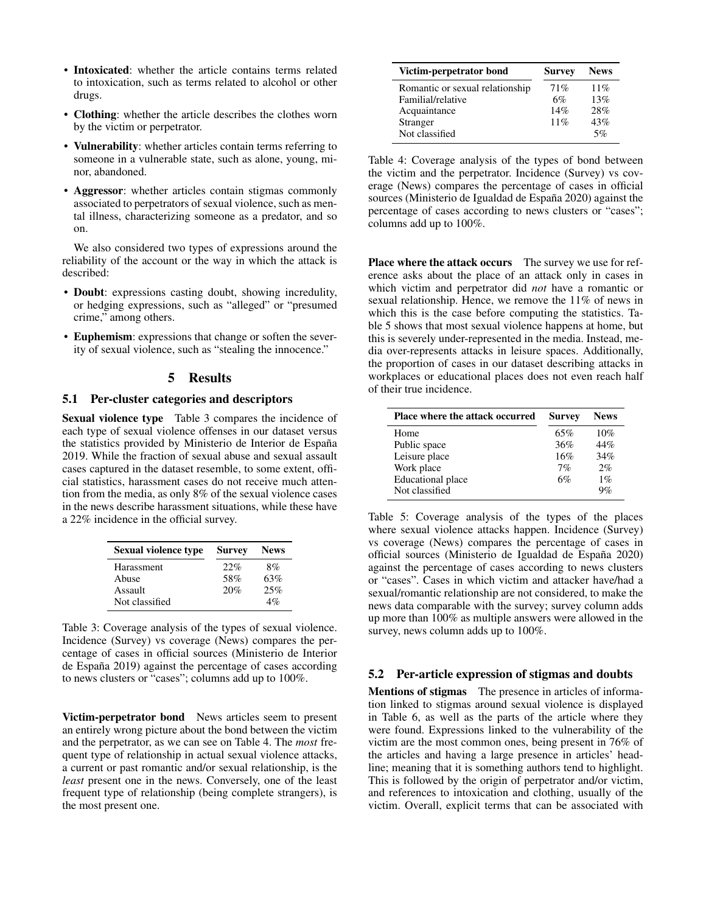- Intoxicated: whether the article contains terms related to intoxication, such as terms related to alcohol or other drugs.
- Clothing: whether the article describes the clothes worn by the victim or perpetrator.
- Vulnerability: whether articles contain terms referring to someone in a vulnerable state, such as alone, young, minor, abandoned.
- Aggressor: whether articles contain stigmas commonly associated to perpetrators of sexual violence, such as mental illness, characterizing someone as a predator, and so on.

We also considered two types of expressions around the reliability of the account or the way in which the attack is described:

- Doubt: expressions casting doubt, showing incredulity, or hedging expressions, such as "alleged" or "presumed crime," among others.
- Euphemism: expressions that change or soften the severity of sexual violence, such as "stealing the innocence."

### 5 Results

### 5.1 Per-cluster categories and descriptors

Sexual violence type Table 3 compares the incidence of each type of sexual violence offenses in our dataset versus the statistics provided by Ministerio de Interior de España 2019. While the fraction of sexual abuse and sexual assault cases captured in the dataset resemble, to some extent, official statistics, harassment cases do not receive much attention from the media, as only 8% of the sexual violence cases in the news describe harassment situations, while these have a 22% incidence in the official survey.

| Sexual violence type | <b>Survey</b> | <b>News</b> |
|----------------------|---------------|-------------|
| Harassment           | 22%           | 8%          |
| Abuse                | 58%           | 63%         |
| Assault              | 20%           | 25%         |
| Not classified       |               | $\Delta\%$  |

Table 3: Coverage analysis of the types of sexual violence. Incidence (Survey) vs coverage (News) compares the percentage of cases in official sources (Ministerio de Interior de España 2019) against the percentage of cases according to news clusters or "cases"; columns add up to 100%.

Victim-perpetrator bond News articles seem to present an entirely wrong picture about the bond between the victim and the perpetrator, as we can see on Table 4. The *most* frequent type of relationship in actual sexual violence attacks, a current or past romantic and/or sexual relationship, is the *least* present one in the news. Conversely, one of the least frequent type of relationship (being complete strangers), is the most present one.

| Victim-perpetrator bond         | <b>Survey</b> | <b>News</b> |
|---------------------------------|---------------|-------------|
| Romantic or sexual relationship | 71%           | 11%         |
| Familial/relative               | 6%            | 13%         |
| Acquaintance                    | 14%           | 28%         |
| Stranger                        | 11%           | 43%         |
| Not classified                  |               | 5%          |

Table 4: Coverage analysis of the types of bond between the victim and the perpetrator. Incidence (Survey) vs coverage (News) compares the percentage of cases in official sources (Ministerio de Igualdad de España 2020) against the percentage of cases according to news clusters or "cases"; columns add up to 100%.

Place where the attack occurs The survey we use for reference asks about the place of an attack only in cases in which victim and perpetrator did *not* have a romantic or sexual relationship. Hence, we remove the 11% of news in which this is the case before computing the statistics. Table 5 shows that most sexual violence happens at home, but this is severely under-represented in the media. Instead, media over-represents attacks in leisure spaces. Additionally, the proportion of cases in our dataset describing attacks in workplaces or educational places does not even reach half of their true incidence.

| <b>Place where the attack occurred</b> | <b>Survey</b> | <b>News</b> |
|----------------------------------------|---------------|-------------|
| Home                                   | 65%           | 10%         |
| Public space                           | 36%           | 44%         |
| Leisure place                          | 16%           | 34%         |
| Work place                             | 7%            | 2%          |
| <b>Educational</b> place               | 6%            | $1\%$       |
| Not classified                         |               | 9%          |

Table 5: Coverage analysis of the types of the places where sexual violence attacks happen. Incidence (Survey) vs coverage (News) compares the percentage of cases in official sources (Ministerio de Igualdad de España 2020) against the percentage of cases according to news clusters or "cases". Cases in which victim and attacker have/had a sexual/romantic relationship are not considered, to make the news data comparable with the survey; survey column adds up more than 100% as multiple answers were allowed in the survey, news column adds up to 100%.

## 5.2 Per-article expression of stigmas and doubts

Mentions of stigmas The presence in articles of information linked to stigmas around sexual violence is displayed in Table 6, as well as the parts of the article where they were found. Expressions linked to the vulnerability of the victim are the most common ones, being present in 76% of the articles and having a large presence in articles' headline; meaning that it is something authors tend to highlight. This is followed by the origin of perpetrator and/or victim, and references to intoxication and clothing, usually of the victim. Overall, explicit terms that can be associated with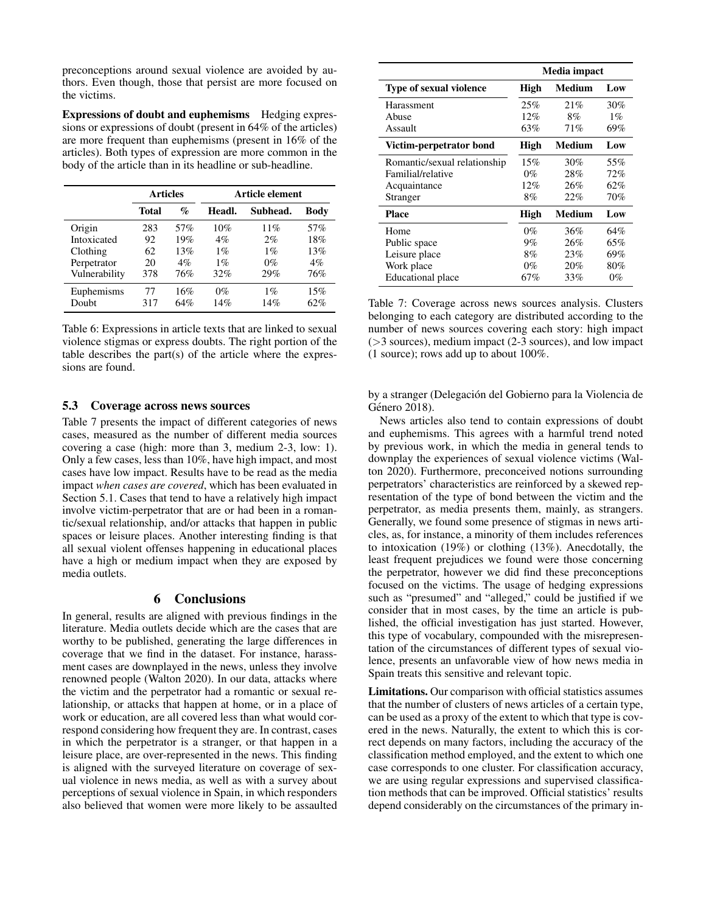preconceptions around sexual violence are avoided by authors. Even though, those that persist are more focused on the victims.

Expressions of doubt and euphemisms Hedging expressions or expressions of doubt (present in 64% of the articles) are more frequent than euphemisms (present in 16% of the articles). Both types of expression are more common in the body of the article than in its headline or sub-headline.

|               | <b>Articles</b> |       |        | Article element |             |  |
|---------------|-----------------|-------|--------|-----------------|-------------|--|
|               | Total           | $\%$  | Headl. | Subhead.        | <b>Body</b> |  |
| Origin        | 283             | 57%   | 10%    | 11%             | 57%         |  |
| Intoxicated   | 92              | 19%   | $4\%$  | $2\%$           | 18%         |  |
| Clothing      | 62              | 13%   | $1\%$  | $1\%$           | 13%         |  |
| Perpetrator   | 20              | $4\%$ | $1\%$  | $0\%$           | $4\%$       |  |
| Vulnerability | 378             | 76%   | 32%    | 29%             | 76%         |  |
| Euphemisms    | 77              | 16%   | $0\%$  | $1\%$           | 15%         |  |
| Doubt         | 317             | 64%   | 14%    | 14%             | 62%         |  |

Table 6: Expressions in article texts that are linked to sexual violence stigmas or express doubts. The right portion of the table describes the part(s) of the article where the expressions are found.

### 5.3 Coverage across news sources

Table 7 presents the impact of different categories of news cases, measured as the number of different media sources covering a case (high: more than 3, medium 2-3, low: 1). Only a few cases, less than 10%, have high impact, and most cases have low impact. Results have to be read as the media impact *when cases are covered*, which has been evaluated in Section 5.1. Cases that tend to have a relatively high impact involve victim-perpetrator that are or had been in a romantic/sexual relationship, and/or attacks that happen in public spaces or leisure places. Another interesting finding is that all sexual violent offenses happening in educational places have a high or medium impact when they are exposed by media outlets.

### 6 Conclusions

In general, results are aligned with previous findings in the literature. Media outlets decide which are the cases that are worthy to be published, generating the large differences in coverage that we find in the dataset. For instance, harassment cases are downplayed in the news, unless they involve renowned people (Walton 2020). In our data, attacks where the victim and the perpetrator had a romantic or sexual relationship, or attacks that happen at home, or in a place of work or education, are all covered less than what would correspond considering how frequent they are. In contrast, cases in which the perpetrator is a stranger, or that happen in a leisure place, are over-represented in the news. This finding is aligned with the surveyed literature on coverage of sexual violence in news media, as well as with a survey about perceptions of sexual violence in Spain, in which responders also believed that women were more likely to be assaulted

|                                | Media impact |        |       |
|--------------------------------|--------------|--------|-------|
| <b>Type of sexual violence</b> | High         | Medium | Low   |
| Harassment                     | 25%          | 21%    | 30%   |
| Abuse                          | 12%          | 8%     | $1\%$ |
| Assault                        | 63%          | 71%    | 69%   |
| Victim-perpetrator bond        | High         | Medium | Low   |
| Romantic/sexual relationship   | 15%          | 30%    | 55%   |
| Familial/relative              | $0\%$        | 28%    | 72%   |
| Acquaintance                   | 12%          | 26%    | 62%   |
| Stranger                       | 8%           | 22%    | 70%   |
| <b>Place</b>                   | High         | Medium | Low   |
| Home                           | $0\%$        | 36%    | 64%   |
| Public space                   | $9\%$        | 26%    | 65%   |
| Leisure place                  | 8%           | 23%    | 69%   |
| Work place                     | $0\%$        | 20%    | 80%   |
| Educational place              | 67%          | 33%    | $0\%$ |

Table 7: Coverage across news sources analysis. Clusters belonging to each category are distributed according to the number of news sources covering each story: high impact (>3 sources), medium impact (2-3 sources), and low impact (1 source); rows add up to about 100%.

by a stranger (Delegación del Gobierno para la Violencia de Género 2018).

News articles also tend to contain expressions of doubt and euphemisms. This agrees with a harmful trend noted by previous work, in which the media in general tends to downplay the experiences of sexual violence victims (Walton 2020). Furthermore, preconceived notions surrounding perpetrators' characteristics are reinforced by a skewed representation of the type of bond between the victim and the perpetrator, as media presents them, mainly, as strangers. Generally, we found some presence of stigmas in news articles, as, for instance, a minority of them includes references to intoxication (19%) or clothing (13%). Anecdotally, the least frequent prejudices we found were those concerning the perpetrator, however we did find these preconceptions focused on the victims. The usage of hedging expressions such as "presumed" and "alleged," could be justified if we consider that in most cases, by the time an article is published, the official investigation has just started. However, this type of vocabulary, compounded with the misrepresentation of the circumstances of different types of sexual violence, presents an unfavorable view of how news media in Spain treats this sensitive and relevant topic.

Limitations. Our comparison with official statistics assumes that the number of clusters of news articles of a certain type, can be used as a proxy of the extent to which that type is covered in the news. Naturally, the extent to which this is correct depends on many factors, including the accuracy of the classification method employed, and the extent to which one case corresponds to one cluster. For classification accuracy, we are using regular expressions and supervised classification methods that can be improved. Official statistics' results depend considerably on the circumstances of the primary in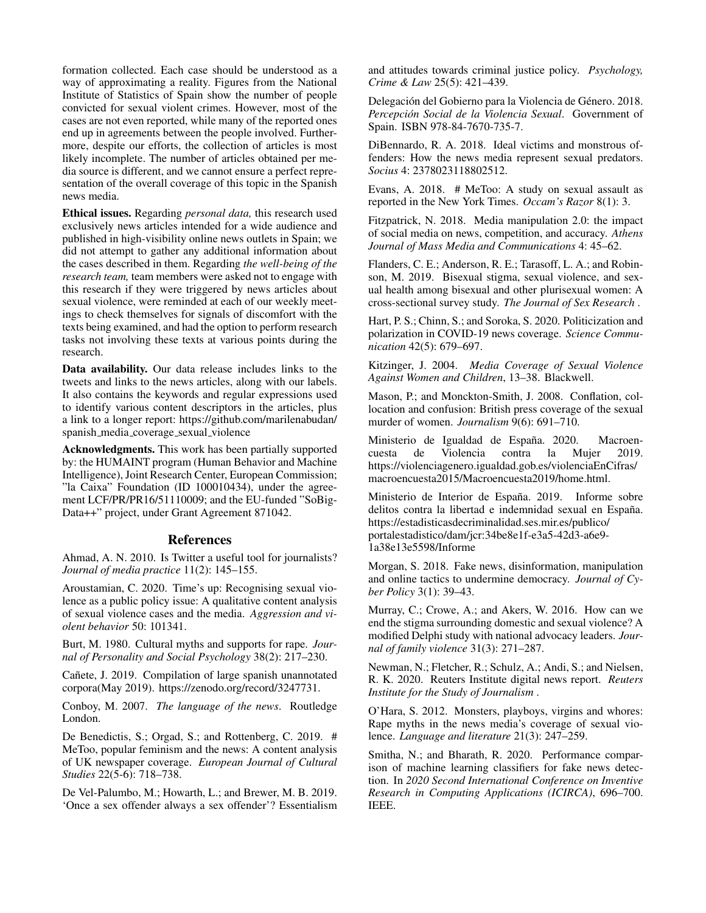formation collected. Each case should be understood as a way of approximating a reality. Figures from the National Institute of Statistics of Spain show the number of people convicted for sexual violent crimes. However, most of the cases are not even reported, while many of the reported ones end up in agreements between the people involved. Furthermore, despite our efforts, the collection of articles is most likely incomplete. The number of articles obtained per media source is different, and we cannot ensure a perfect representation of the overall coverage of this topic in the Spanish news media.

Ethical issues. Regarding *personal data,* this research used exclusively news articles intended for a wide audience and published in high-visibility online news outlets in Spain; we did not attempt to gather any additional information about the cases described in them. Regarding *the well-being of the research team,* team members were asked not to engage with this research if they were triggered by news articles about sexual violence, were reminded at each of our weekly meetings to check themselves for signals of discomfort with the texts being examined, and had the option to perform research tasks not involving these texts at various points during the research.

Data availability. Our data release includes links to the tweets and links to the news articles, along with our labels. It also contains the keywords and regular expressions used to identify various content descriptors in the articles, plus a link to a longer report: https://github.com/marilenabudan/ spanish media coverage sexual violence

Acknowledgments. This work has been partially supported by: the HUMAINT program (Human Behavior and Machine Intelligence), Joint Research Center, European Commission; "la Caixa" Foundation (ID 100010434), under the agreement LCF/PR/PR16/51110009; and the EU-funded "SoBig-Data++" project, under Grant Agreement 871042.

### References

Ahmad, A. N. 2010. Is Twitter a useful tool for journalists? *Journal of media practice* 11(2): 145–155.

Aroustamian, C. 2020. Time's up: Recognising sexual violence as a public policy issue: A qualitative content analysis of sexual violence cases and the media. *Aggression and violent behavior* 50: 101341.

Burt, M. 1980. Cultural myths and supports for rape. *Journal of Personality and Social Psychology* 38(2): 217–230.

Cañete, J. 2019. Compilation of large spanish unannotated corpora(May 2019). https://zenodo.org/record/3247731.

Conboy, M. 2007. *The language of the news*. Routledge London.

De Benedictis, S.; Orgad, S.; and Rottenberg, C. 2019. # MeToo, popular feminism and the news: A content analysis of UK newspaper coverage. *European Journal of Cultural Studies* 22(5-6): 718–738.

De Vel-Palumbo, M.; Howarth, L.; and Brewer, M. B. 2019. 'Once a sex offender always a sex offender'? Essentialism and attitudes towards criminal justice policy. *Psychology, Crime & Law* 25(5): 421–439.

Delegación del Gobierno para la Violencia de Género. 2018. *Percepcion Social de la Violencia Sexual ´* . Government of Spain. ISBN 978-84-7670-735-7.

DiBennardo, R. A. 2018. Ideal victims and monstrous offenders: How the news media represent sexual predators. *Socius* 4: 2378023118802512.

Evans, A. 2018. # MeToo: A study on sexual assault as reported in the New York Times. *Occam's Razor* 8(1): 3.

Fitzpatrick, N. 2018. Media manipulation 2.0: the impact of social media on news, competition, and accuracy. *Athens Journal of Mass Media and Communications* 4: 45–62.

Flanders, C. E.; Anderson, R. E.; Tarasoff, L. A.; and Robinson, M. 2019. Bisexual stigma, sexual violence, and sexual health among bisexual and other plurisexual women: A cross-sectional survey study. *The Journal of Sex Research* .

Hart, P. S.; Chinn, S.; and Soroka, S. 2020. Politicization and polarization in COVID-19 news coverage. *Science Communication* 42(5): 679–697.

Kitzinger, J. 2004. *Media Coverage of Sexual Violence Against Women and Children*, 13–38. Blackwell.

Mason, P.; and Monckton-Smith, J. 2008. Conflation, collocation and confusion: British press coverage of the sexual murder of women. *Journalism* 9(6): 691–710.

Ministerio de Igualdad de España. 2020. Macroencuesta de Violencia contra la Mujer 2019. https://violenciagenero.igualdad.gob.es/violenciaEnCifras/ macroencuesta2015/Macroencuesta2019/home.html.

Ministerio de Interior de España. 2019. Informe sobre delitos contra la libertad e indemnidad sexual en España. https://estadisticasdecriminalidad.ses.mir.es/publico/ portalestadistico/dam/jcr:34be8e1f-e3a5-42d3-a6e9- 1a38e13e5598/Informe

Morgan, S. 2018. Fake news, disinformation, manipulation and online tactics to undermine democracy. *Journal of Cyber Policy* 3(1): 39–43.

Murray, C.; Crowe, A.; and Akers, W. 2016. How can we end the stigma surrounding domestic and sexual violence? A modified Delphi study with national advocacy leaders. *Journal of family violence* 31(3): 271–287.

Newman, N.; Fletcher, R.; Schulz, A.; Andi, S.; and Nielsen, R. K. 2020. Reuters Institute digital news report. *Reuters Institute for the Study of Journalism* .

O'Hara, S. 2012. Monsters, playboys, virgins and whores: Rape myths in the news media's coverage of sexual violence. *Language and literature* 21(3): 247–259.

Smitha, N.; and Bharath, R. 2020. Performance comparison of machine learning classifiers for fake news detection. In *2020 Second International Conference on Inventive Research in Computing Applications (ICIRCA)*, 696–700. IEEE.